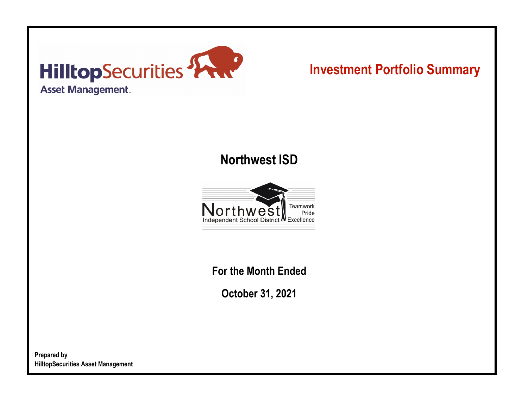

# **Investment Portfolio Summary**

## **Northwest ISD**

![](_page_0_Picture_3.jpeg)

**For the Month Ended**

**October 31, 2021**

**Prepared by HilltopSecurities Asset Management**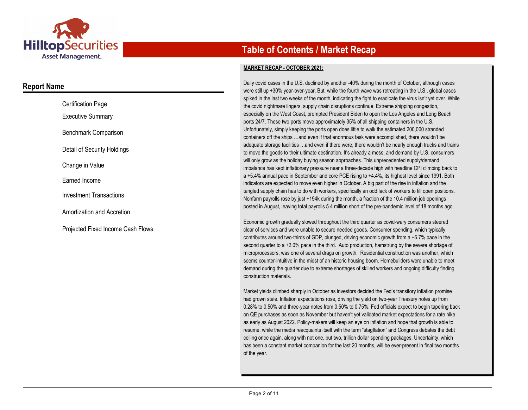![](_page_1_Picture_0.jpeg)

### **Report Name**

| <b>Certification Page</b>         |
|-----------------------------------|
| <b>Executive Summary</b>          |
| Benchmark Comparison              |
| Detail of Security Holdings       |
| Change in Value                   |
| Earned Income                     |
| Investment Transactions           |
| Amortization and Accretion        |
| Projected Fixed Income Cash Flows |

## **Table of Contents / Market Recap**

#### **MARKET RECAP - OCTOBER 2021:**

Daily covid cases in the U.S. declined by another -40% during the month of October, although cases were still up +30% year-over-year. But, while the fourth wave was retreating in the U.S., global cases spiked in the last two weeks of the month, indicating the fight to eradicate the virus isn't yet over. While the covid nightmare lingers, supply chain disruptions continue. Extreme shipping congestion, especially on the West Coast, prompted President Biden to open the Los Angeles and Long Beach ports 24/7. These two ports move approximately 35% of all shipping containers in the U.S. Unfortunately, simply keeping the ports open does little to walk the estimated 200,000 stranded containers off the ships …and even if that enormous task were accomplished, there wouldn't be adequate storage facilities …and even if there were, there wouldn't be nearly enough trucks and trains to move the goods to their ultimate destination. It's already a mess, and demand by U.S. consumers will only grow as the holiday buying season approaches. This unprecedented supply/demand imbalance has kept inflationary pressure near a three-decade high with headline CPI climbing back to a +5.4% annual pace in September and core PCE rising to +4.4%, its highest level since 1991. Both indicators are expected to move even higher in October. A big part of the rise in inflation and the tangled supply chain has to do with workers, specifically an odd lack of workers to fill open positions. Nonfarm payrolls rose by just +194k during the month, a fraction of the 10.4 million job openings posted in August, leaving total payrolls 5.4 million short of the pre-pandemic level of 18 months ago.

Economic growth gradually slowed throughout the third quarter as covid-wary consumers steered clear of services and were unable to secure needed goods. Consumer spending, which typically contributes around two-thirds of GDP, plunged, driving economic growth from a +6.7% pace in the second quarter to a +2.0% pace in the third. Auto production, hamstrung by the severe shortage of microprocessors, was one of several drags on growth. Residential construction was another, which seems counter-intuitive in the midst of an historic housing boom. Homebuilders were unable to meet demand during the quarter due to extreme shortages of skilled workers and ongoing difficulty finding construction materials.

Market yields climbed sharply in October as investors decided the Fed's transitory inflation promise had grown stale. Inflation expectations rose, driving the yield on two-year Treasury notes up from 0.28% to 0.50% and three-year notes from 0.50% to 0.75%. Fed officials expect to begin tapering back on QE purchases as soon as November but haven't yet validated market expectations for a rate hike as early as August 2022. Policy-makers will keep an eye on inflation and hope that growth is able to resume, while the media reacquaints itself with the term "stagflation" and Congress debates the debt ceiling once again, along with not one, but two, trillion dollar spending packages. Uncertainty, which has been a constant market companion for the last 20 months, will be ever-present in final two months of the year.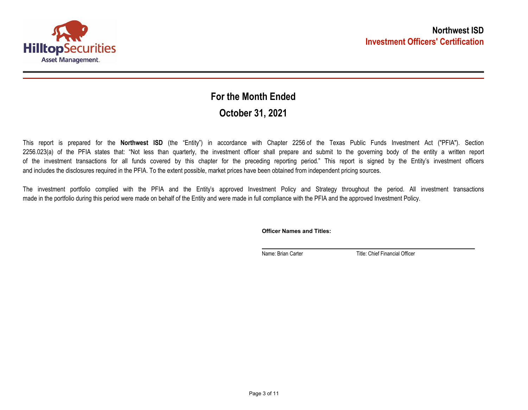![](_page_2_Picture_0.jpeg)

## **October 31, 2021 For the Month Ended**

This report is prepared for the **Northwest ISD** (the "Entity") in accordance with Chapter 2256 of the Texas Public Funds Investment Act ("PFIA"). Section 2256.023(a) of the PFIA states that: "Not less than quarterly, the investment officer shall prepare and submit to the governing body of the entity a written report of the investment transactions for all funds covered by this chapter for the preceding reporting period." This report is signed by the Entity's investment officers and includes the disclosures required in the PFIA. To the extent possible, market prices have been obtained from independent pricing sources.

The investment portfolio complied with the PFIA and the Entity's approved Investment Policy and Strategy throughout the period. All investment transactions made in the portfolio during this period were made on behalf of the Entity and were made in full compliance with the PFIA and the approved Investment Policy.

**Officer Names and Titles:**

Name: Brian Carter Title: Chief Financial Officer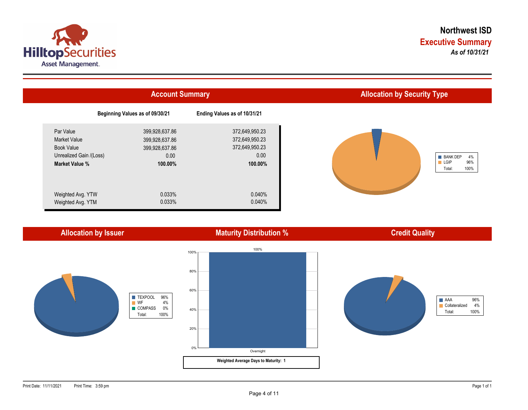![](_page_3_Picture_0.jpeg)

![](_page_3_Figure_2.jpeg)

![](_page_3_Figure_3.jpeg)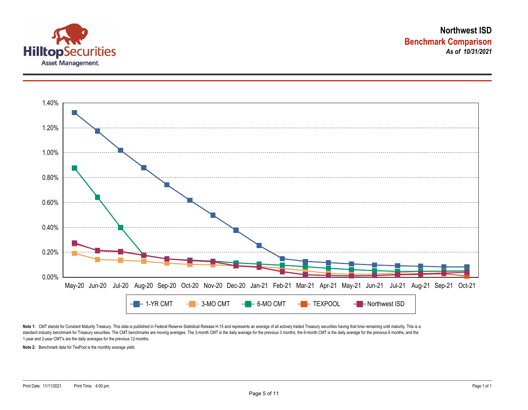![](_page_4_Picture_0.jpeg)

![](_page_4_Figure_2.jpeg)

Note 1: CMT stands for Constant Maturity Treasury. This data is published in Federal Reserve Statistical Release H.15 and represents an average of all actively traded Treasury securities having that time remaining until ma standard industry benchmark for Treasury securities. The CMT benchmarks are moving averages. The 3-month CMT is the daily average for the previous 3 months, the 6-month CMT is the daily average for the previous 6 months, a 1-year and 2-year CMT's are the daily averages for the previous 12-months.

**Note 2:** Benchmark data for TexPool is the monthly average yield.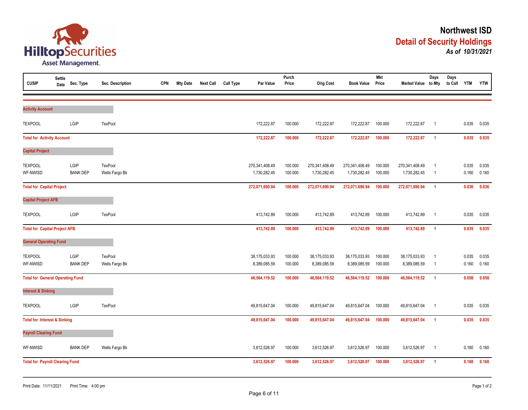![](_page_5_Picture_0.jpeg)

| <b>CUSIP</b>                            | Settle<br>Date | Sec. Type               | Sec. Description                 | <b>CPN</b> | <b>Mty Date</b> | <b>Next Call</b> | <b>Call Type</b> | Par Value                      | Purch<br>Price     | <b>Orig Cost</b>               | <b>Book Value</b>              | <b>Mkt</b><br>Price | Market Value to Mty            | Days                             | Days<br>to Call | <b>YTM</b>     | <b>YTW</b>     |
|-----------------------------------------|----------------|-------------------------|----------------------------------|------------|-----------------|------------------|------------------|--------------------------------|--------------------|--------------------------------|--------------------------------|---------------------|--------------------------------|----------------------------------|-----------------|----------------|----------------|
| <b>Activity Account</b>                 |                |                         |                                  |            |                 |                  |                  |                                |                    |                                |                                |                     |                                |                                  |                 |                |                |
| <b>TEXPOOL</b>                          |                | LGIP                    | TexPool                          |            |                 |                  |                  | 172,222.87                     | 100.000            | 172,222.87                     | 172,222.87                     | 100.000             | 172,222.87                     | $\overline{1}$                   |                 | 0.035          | 0.035          |
| <b>Total for Activity Account</b>       |                |                         |                                  |            |                 |                  |                  | 172,222.87                     | 100.000            | 172,222.87                     | 172,222.87                     | 100.000             | 172,222.87                     | $\overline{1}$                   |                 | 0.035          | 0.035          |
| <b>Capital Project</b>                  |                |                         |                                  |            |                 |                  |                  |                                |                    |                                |                                |                     |                                |                                  |                 |                |                |
| <b>TEXPOOL</b><br>WF-NWISD              |                | LGIP<br><b>BANK DEP</b> | <b>TexPool</b><br>Wells Fargo Bk |            |                 |                  |                  | 270,341,408.49<br>1,730,282.45 | 100.000<br>100.000 | 270,341,408.49<br>1,730,282.45 | 270,341,408.49<br>1,730,282.45 | 100.000<br>100.000  | 270,341,408.49<br>1,730,282.45 | $\overline{1}$<br>$\overline{1}$ |                 | 0.035<br>0.160 | 0.035<br>0.160 |
| <b>Total for Capital Project</b>        |                |                         |                                  |            |                 |                  |                  | 272,071,690.94                 | 100.000            | 272,071,690.94                 | 272,071,690.94                 | 100.000             | 272,071,690.94                 | $\overline{1}$                   |                 | 0.036          | 0.036          |
| <b>Capital Project AFB</b>              |                |                         |                                  |            |                 |                  |                  |                                |                    |                                |                                |                     |                                |                                  |                 |                |                |
| <b>TEXPOOL</b>                          |                | LGIP                    | TexPool                          |            |                 |                  |                  | 413,742.89                     | 100.000            | 413,742.89                     | 413,742.89                     | 100.000             | 413,742.89                     | $\overline{1}$                   |                 | 0.035          | 0.035          |
| <b>Total for Capital Project AFB</b>    |                |                         |                                  |            |                 |                  |                  | 413,742.89                     | 100.000            | 413,742.89                     | 413,742.89                     | 100.000             | 413,742.89                     | $\overline{1}$                   |                 | 0.035          | 0.035          |
| <b>General Operating Fund</b>           |                |                         |                                  |            |                 |                  |                  |                                |                    |                                |                                |                     |                                |                                  |                 |                |                |
| <b>TEXPOOL</b><br>WF-NWISD              |                | LGIP<br><b>BANK DEP</b> | TexPool<br>Wells Fargo Bk        |            |                 |                  |                  | 38,175,033.93<br>8,389,085.59  | 100.000<br>100.000 | 38,175,033.93<br>8,389,085.59  | 38,175,033.93<br>8,389,085.59  | 100.000<br>100.000  | 38,175,033.93<br>8,389,085.59  | $\overline{1}$<br>$\overline{1}$ |                 | 0.035<br>0.160 | 0.035<br>0.160 |
| <b>Total for General Operating Fund</b> |                |                         |                                  |            |                 |                  |                  | 46,564,119.52                  | 100.000            | 46,564,119.52                  | 46,564,119.52                  | 100.000             | 46,564,119.52                  | $\overline{1}$                   |                 | 0.058          | 0.058          |
| <b>Interest &amp; Sinking</b>           |                |                         |                                  |            |                 |                  |                  |                                |                    |                                |                                |                     |                                |                                  |                 |                |                |
| <b>TEXPOOL</b>                          |                | LGIP                    | TexPool                          |            |                 |                  |                  | 49,815,647.04                  | 100.000            | 49,815,647.04                  | 49,815,647.04                  | 100.000             | 49,815,647.04                  | $\overline{1}$                   |                 | 0.035          | 0.035          |
| <b>Total for Interest &amp; Sinking</b> |                |                         |                                  |            | 49,815,647.04   | 100.000          | 49,815,647.04    | 49,815,647.04                  | 100.000            | 49,815,647.04                  | $\overline{1}$                 |                     | 0.035                          | 0.035                            |                 |                |                |
| <b>Payroll Clearing Fund</b>            |                |                         |                                  |            |                 |                  |                  |                                |                    |                                |                                |                     |                                |                                  |                 |                |                |
| WF-NWISD                                |                | <b>BANK DEP</b>         | Wells Fargo Bk                   |            |                 |                  |                  | 3,612,526.97                   | 100.000            | 3,612,526.97                   | 3,612,526.97                   | 100.000             | 3,612,526.97                   | $\overline{1}$                   |                 | 0.160          | 0.160          |
| <b>Total for Payroll Clearing Fund</b>  |                |                         |                                  |            |                 |                  |                  | 3,612,526.97                   | 100.000            | 3,612,526.97                   | 3,612,526.97                   | 100.000             | 3,612,526.97                   | $\overline{1}$                   |                 | 0.160          | 0.160          |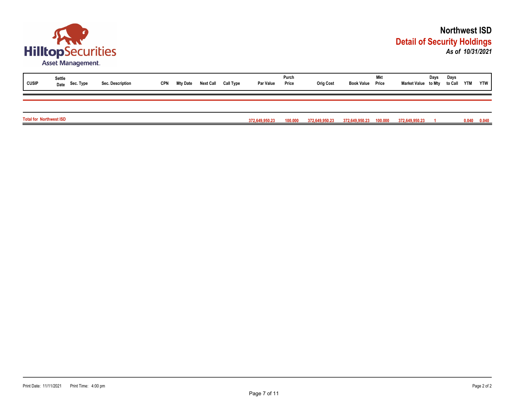![](_page_6_Picture_0.jpeg)

| <b>CUSIP</b>                   | Settle<br>Date Sec. Type | Sec. Description | <b>CPN</b> | Mty Date | <b>Next Call</b> | Call Type | <b>Par Value</b> | Purch<br>Price | <b>Orig Cost</b> | <b>Book Value Price</b> | Mkt | Market Value to Mty to Call YTM | Days | Days |       | <b>YTW</b> |
|--------------------------------|--------------------------|------------------|------------|----------|------------------|-----------|------------------|----------------|------------------|-------------------------|-----|---------------------------------|------|------|-------|------------|
|                                |                          |                  |            |          |                  |           |                  |                |                  |                         |     |                                 |      |      |       |            |
| <b>Total for Northwest ISD</b> |                          |                  |            |          |                  |           | 372,649,950.23   | 100.000        | 372,649,950.23   | 372,649,950.23 100.000  |     | 372,649,950.23                  |      |      | 0.040 | 0.040      |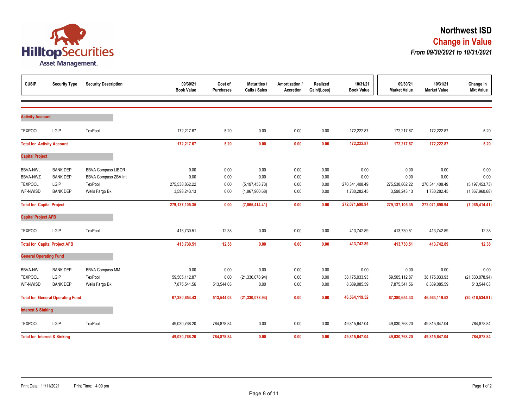![](_page_7_Picture_0.jpeg)

| <b>CUSIP</b>                                                     | <b>Security Type</b>                                          | <b>Security Description</b>                                                    | 09/30/21<br><b>Book Value</b>                  | Cost of<br><b>Purchases</b>  | <b>Maturities /</b><br>Calls / Sales               | Amortization /<br><b>Accretion</b> | Realized<br>Gain/(Loss)      | 10/31/21<br><b>Book Value</b>                  | 09/30/21<br><b>Market Value</b>                | 10/31/21<br><b>Market Value</b>                | Change in<br><b>Mkt Value</b>                      |
|------------------------------------------------------------------|---------------------------------------------------------------|--------------------------------------------------------------------------------|------------------------------------------------|------------------------------|----------------------------------------------------|------------------------------------|------------------------------|------------------------------------------------|------------------------------------------------|------------------------------------------------|----------------------------------------------------|
| <b>Activity Account</b>                                          |                                                               |                                                                                |                                                |                              |                                                    |                                    |                              |                                                |                                                |                                                |                                                    |
| <b>TEXPOOL</b>                                                   | LGIP                                                          | TexPool                                                                        | 172,217.67                                     | 5.20                         | 0.00                                               | 0.00                               | 0.00                         | 172,222.87                                     | 172,217.67                                     | 172,222.87                                     | 5.20                                               |
| <b>Total for Activity Account</b>                                |                                                               |                                                                                | 172,217.67                                     | 5.20                         | 0.00                                               | 0.00                               | 0.00                         | 172,222.87                                     | 172,217.67                                     | 172,222.87                                     | 5.20                                               |
| <b>Capital Project</b>                                           |                                                               |                                                                                |                                                |                              |                                                    |                                    |                              |                                                |                                                |                                                |                                                    |
| <b>BBVA-NWL</b><br><b>BBVA-NWZ</b><br><b>TEXPOOL</b><br>WF-NWISD | <b>BANK DEP</b><br><b>BANK DEP</b><br>LGIP<br><b>BANK DEP</b> | <b>BBVA Compass LIBOR</b><br>BBVA Compass ZBA Int<br>TexPool<br>Wells Fargo Bk | 0.00<br>0.00<br>275,538,862.22<br>3,598,243.13 | 0.00<br>0.00<br>0.00<br>0.00 | 0.00<br>0.00<br>(5, 197, 453.73)<br>(1,867,960.68) | 0.00<br>0.00<br>0.00<br>0.00       | 0.00<br>0.00<br>0.00<br>0.00 | 0.00<br>0.00<br>270,341,408.49<br>1,730,282.45 | 0.00<br>0.00<br>275,538,862.22<br>3,598,243.13 | 0.00<br>0.00<br>270,341,408.49<br>1,730,282.45 | 0.00<br>0.00<br>(5, 197, 453.73)<br>(1,867,960.68) |
| <b>Total for Capital Project</b>                                 |                                                               |                                                                                | 279, 137, 105.35                               | 0.00                         | (7,065,414.41)                                     | 0.00                               | 0.00                         | 272,071,690.94                                 | 279, 137, 105.35                               | 272,071,690.94                                 | (7,065,414.41)                                     |
| <b>Capital Project AFB</b>                                       |                                                               |                                                                                |                                                |                              |                                                    |                                    |                              |                                                |                                                |                                                |                                                    |
| <b>TEXPOOL</b>                                                   | LGIP                                                          | TexPool                                                                        | 413,730.51                                     | 12.38                        | 0.00                                               | 0.00                               | 0.00                         | 413,742.89                                     | 413,730.51                                     | 413,742.89                                     | 12.38                                              |
|                                                                  | <b>Total for Capital Project AFB</b>                          |                                                                                | 413,730.51                                     | 12.38                        | 0.00                                               | 0.00                               | 0.00                         | 413,742.89                                     | 413,730.51                                     | 413,742.89                                     | 12.38                                              |
| <b>General Operating Fund</b>                                    |                                                               |                                                                                |                                                |                              |                                                    |                                    |                              |                                                |                                                |                                                |                                                    |
| <b>BBVA-NW</b><br><b>TEXPOOL</b><br>WF-NWISD                     | <b>BANK DEP</b><br>LGIP<br><b>BANK DEP</b>                    | <b>BBVA Compass MM</b><br>TexPool<br>Wells Fargo Bk                            | 0.00<br>59,505,112.87<br>7,875,541.56          | 0.00<br>0.00<br>513,544.03   | 0.00<br>(21, 330, 078.94)<br>0.00                  | 0.00<br>0.00<br>0.00               | 0.00<br>0.00<br>0.00         | 0.00<br>38,175,033.93<br>8,389,085.59          | 0.00<br>59,505,112.87<br>7,875,541.56          | 0.00<br>38,175,033.93<br>8,389,085.59          | 0.00<br>(21, 330, 078.94)<br>513,544.03            |
| <b>Total for General Operating Fund</b>                          |                                                               | 67,380,654.43                                                                  | 513,544.03                                     | (21, 330, 078.94)            | 0.00                                               | 0.00                               | 46,564,119.52                | 67,380,654.43                                  | 46,564,119.52                                  | (20, 816, 534.91)                              |                                                    |
| <b>Interest &amp; Sinking</b>                                    |                                                               |                                                                                |                                                |                              |                                                    |                                    |                              |                                                |                                                |                                                |                                                    |
| <b>TEXPOOL</b>                                                   | LGIP                                                          | TexPool                                                                        | 49,030,768.20                                  | 784,878.84                   | 0.00                                               | 0.00                               | 0.00                         | 49,815,647.04                                  | 49,030,768.20                                  | 49,815,647.04                                  | 784,878.84                                         |
|                                                                  | <b>Total for Interest &amp; Sinking</b>                       |                                                                                | 49,030,768.20                                  | 784,878.84                   | 0.00                                               | 0.00                               | 0.00                         | 49,815,647.04                                  | 49,030,768.20                                  | 49,815,647.04                                  | 784,878.84                                         |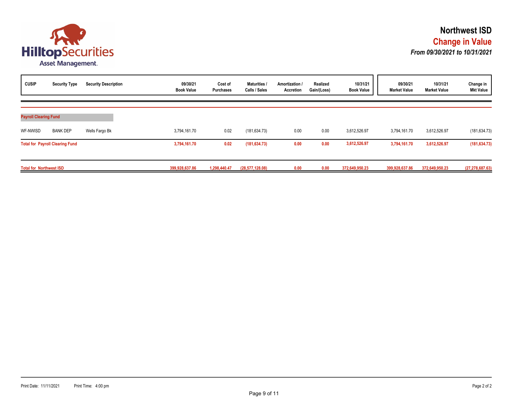![](_page_8_Picture_0.jpeg)

| <b>CUSIP</b>                   | <b>Security Type</b>                   | <b>Security Description</b> | 09/30/21<br><b>Book Value</b> | Cost of<br><b>Purchases</b> | <b>Maturities</b><br>Calls / Sales | Amortization /<br>Accretion | Realized<br>Gain/(Loss) | 10/31/21<br><b>Book Value</b> | 09/30/21<br><b>Market Value</b> | 10/31/21<br><b>Market Value</b> | Change in<br><b>Mkt Value</b> |
|--------------------------------|----------------------------------------|-----------------------------|-------------------------------|-----------------------------|------------------------------------|-----------------------------|-------------------------|-------------------------------|---------------------------------|---------------------------------|-------------------------------|
| <b>Payroll Clearing Fund</b>   |                                        |                             |                               |                             |                                    |                             |                         |                               |                                 |                                 |                               |
| WF-NWISD                       | <b>BANK DEP</b>                        | Wells Fargo Bk              | 3,794,161.70                  | 0.02                        | (181, 634.73)                      | 0.00                        | 0.00                    | 3,612,526.97                  | 3,794,161.70                    | 3,612,526.97                    | (181, 634.73)                 |
|                                | <b>Total for Payroll Clearing Fund</b> |                             | 3,794,161.70                  | 0.02                        | (181, 634.73)                      | 0.00                        | 0.00                    | 3,612,526.97                  | 3,794,161.70                    | 3,612,526.97                    | (181, 634.73)                 |
| <b>Total for Northwest ISD</b> |                                        |                             | 399,928,637.86                | 1,298,440.47                | (28, 577, 128.08)                  | 0.00                        | 0.00                    | 372,649,950.23                | 399,928,637.86                  | 372,649,950.23                  | (27, 278, 687.63)             |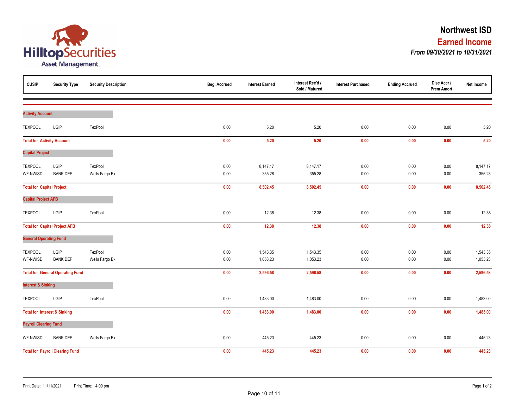![](_page_9_Picture_0.jpeg)

| <b>CUSIP</b>                      | <b>Security Type</b>                    | <b>Security Description</b> | Beg. Accrued | <b>Interest Earned</b> | Interest Rec'd /<br>Sold / Matured | <b>Interest Purchased</b> | <b>Ending Accrued</b> | Disc Accr /<br><b>Prem Amort</b> | Net Income |
|-----------------------------------|-----------------------------------------|-----------------------------|--------------|------------------------|------------------------------------|---------------------------|-----------------------|----------------------------------|------------|
|                                   |                                         |                             |              |                        |                                    |                           |                       |                                  |            |
| <b>Activity Account</b>           |                                         |                             |              |                        |                                    |                           |                       |                                  |            |
| <b>TEXPOOL</b>                    | LGIP                                    | TexPool                     | 0.00         | 5.20                   | 5.20                               | 0.00                      | 0.00                  | 0.00                             | $5.20$     |
| <b>Total for Activity Account</b> |                                         |                             | 0.00         | 5.20                   | 5.20                               | 0.00                      | $0.00\,$              | 0.00                             | $5.20$     |
| <b>Capital Project</b>            |                                         |                             |              |                        |                                    |                           |                       |                                  |            |
| <b>TEXPOOL</b>                    | LGIP                                    | TexPool                     | 0.00         | 8,147.17               | 8,147.17                           | 0.00                      | 0.00                  | $0.00\,$                         | 8,147.17   |
| WF-NWISD                          | <b>BANK DEP</b>                         | Wells Fargo Bk              | 0.00         | 355.28                 | 355.28                             | 0.00                      | 0.00                  | 0.00                             | 355.28     |
| <b>Total for Capital Project</b>  |                                         |                             | 0.00         | 8,502.45               | 8,502.45                           | 0.00                      | 0.00                  | 0.00                             | 8,502.45   |
| <b>Capital Project AFB</b>        |                                         |                             |              |                        |                                    |                           |                       |                                  |            |
| <b>TEXPOOL</b>                    | LGIP                                    | TexPool                     | 0.00         | 12.38                  | 12.38                              | 0.00                      | 0.00                  | 0.00                             | 12.38      |
|                                   | <b>Total for Capital Project AFB</b>    |                             | 0.00         | 12.38                  | 12.38                              | 0.00                      | 0.00                  | 0.00                             | 12.38      |
| <b>General Operating Fund</b>     |                                         |                             |              |                        |                                    |                           |                       |                                  |            |
| <b>TEXPOOL</b>                    | LGIP                                    | TexPool                     | 0.00         | 1,543.35               | 1,543.35                           | 0.00                      | 0.00                  | 0.00                             | 1,543.35   |
| WF-NWISD                          | <b>BANK DEP</b>                         | Wells Fargo Bk              | 0.00         | 1,053.23               | 1,053.23                           | 0.00                      | $0.00\,$              | $0.00\,$                         | 1,053.23   |
|                                   | <b>Total for General Operating Fund</b> |                             | 0.00         | 2,596.58               | 2,596.58                           | 0.00                      | 0.00                  | 0.00                             | 2,596.58   |
| <b>Interest &amp; Sinking</b>     |                                         |                             |              |                        |                                    |                           |                       |                                  |            |
| <b>TEXPOOL</b>                    | LGIP                                    | TexPool                     | 0.00         | 1,483.00               | 1,483.00                           | 0.00                      | 0.00                  | 0.00                             | 1,483.00   |
|                                   | <b>Total for Interest &amp; Sinking</b> |                             | 0.00         | 1,483.00               | 1,483.00                           | 0.00                      | $0.00\,$              | 0.00                             | 1,483.00   |
| <b>Payroll Clearing Fund</b>      |                                         |                             |              |                        |                                    |                           |                       |                                  |            |
| WF-NWISD                          | <b>BANK DEP</b>                         | Wells Fargo Bk              | 0.00         | 445.23                 | 445.23                             | 0.00                      | 0.00                  | 0.00                             | 445.23     |
|                                   | <b>Total for Payroll Clearing Fund</b>  |                             | 0.00         | 445.23                 | 445.23                             | 0.00                      | 0.00                  | 0.00                             | 445.23     |